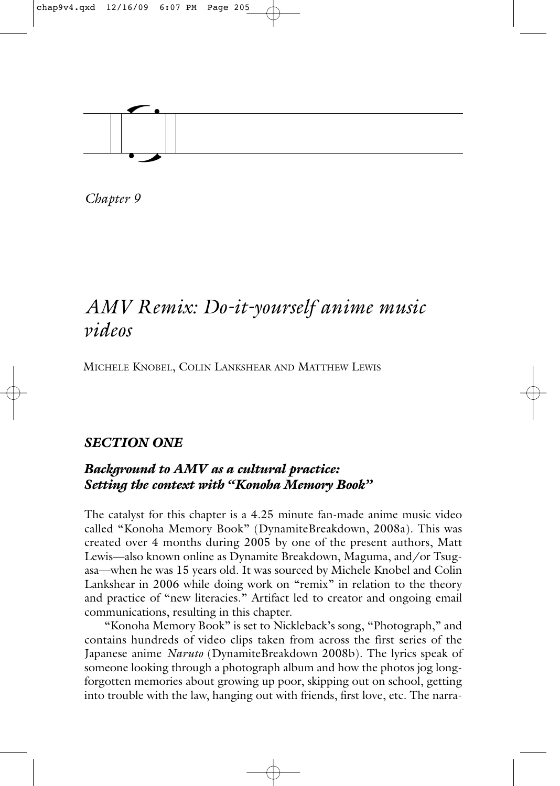



# *AMV Remix: Do-it-yourself anime music videos videos*

MICHELE KNOBEL, COLIN LANKSHEAR AND MATTHEW LEWIS

# *SECTION ONE*

# *Background to AMV as a cultural practice: Setting the context with "Konoha Memory Book"*

The catalyst for this chapter is a 4.25 minute fan-made anime music video called "Konoha Memory Book" (DynamiteBreakdown, 2008a). This was created over 4 months during 2005 by one of the present authors, Matt Lewis—also known online as Dynamite Breakdown, Maguma, and/or Tsugasa—when he was 15 years old. It was sourced by Michele Knobel and Colin Lankshear in 2006 while doing work on "remix" in relation to the theory and practice of "new literacies." Artifact led to creator and ongoing email communications, resulting in this chapter.

"Konoha Memory Book" is set to Nickleback's song, "Photograph," and contains hundreds of video clips taken from across the first series of the Japanese anime *Naruto* (DynamiteBreakdown 2008b). The lyrics speak of someone looking through a photograph album and how the photos jog longforgotten memories about growing up poor, skipping out on school, getting into trouble with the law, hanging out with friends, first love, etc. The narra-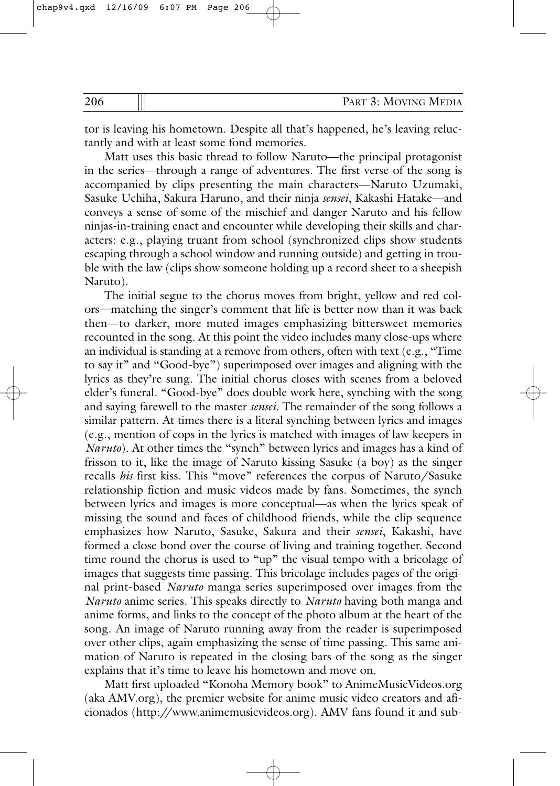| chap9v4.qxd 12/16/09 6:07 PM Page 206 |  |  |  |
|---------------------------------------|--|--|--|
|---------------------------------------|--|--|--|

| 206 | $P_{\Delta PT}$<br><b>MEDIA</b><br><b>MOVING</b><br>ЛA<br>$\mathbf{H}$<br>$\sim$ |
|-----|----------------------------------------------------------------------------------|
|     |                                                                                  |

tor is leaving his hometown. Despite all that's happened, he's leaving reluctantly and with at least some fond memories.

Matt uses this basic thread to follow Naruto—the principal protagonist in the series—through a range of adventures. The first verse of the song is accompanied by clips presenting the main characters—Naruto Uzumaki, Sasuke Uchiha, Sakura Haruno, and their ninja *sensei*, Kakashi Hatake—and conveys a sense of some of the mischief and danger Naruto and his fellow ninjas-in-training enact and encounter while developing their skills and characters: e.g., playing truant from school (synchronized clips show students escaping through a school window and running outside) and getting in trouble with the law (clips show someone holding up a record sheet to a sheepish Naruto).

The initial segue to the chorus moves from bright, yellow and red colors—matching the singer's comment that life is better now than it was back then—to darker, more muted images emphasizing bittersweet memories recounted in the song. At this point the video includes many close-ups where an individual is standing at a remove from others, often with text (e.g., "Time to say it" and "Good-bye") superimposed over images and aligning with the lyrics as they're sung. The initial chorus closes with scenes from a beloved elder's funeral. "Good-bye" does double work here, synching with the song and saying farewell to the master *sensei.* The remainder of the song follows a similar pattern. At times there is a literal synching between lyrics and images (e.g., mention of cops in the lyrics is matched with images of law keepers in *Naruto*). At other times the "synch" between lyrics and images has a kind of frisson to it, like the image of Naruto kissing Sasuke (a boy) as the singer recalls *his* first kiss. This "move" references the corpus of Naruto/Sasuke relationship fiction and music videos made by fans. Sometimes, the synch between lyrics and images is more conceptual—as when the lyrics speak of missing the sound and faces of childhood friends, while the clip sequence emphasizes how Naruto, Sasuke, Sakura and their *sensei*, Kakashi, have formed a close bond over the course of living and training together. Second time round the chorus is used to "up" the visual tempo with a bricolage of images that suggests time passing. This bricolage includes pages of the original print-based *Naruto* manga series superimposed over images from the *Naruto* anime series. This speaks directly to *Naruto* having both manga and anime forms, and links to the concept of the photo album at the heart of the song. An image of Naruto running away from the reader is superimposed over other clips, again emphasizing the sense of time passing. This same animation of Naruto is repeated in the closing bars of the song as the singer explains that it's time to leave his hometown and move on.

Matt first uploaded "Konoha Memory book" to AnimeMusicVideos.org (aka AMV.org), the premier website for anime music video creators and aficionados (http://www.animemusicvideos.org). AMV fans found it and sub-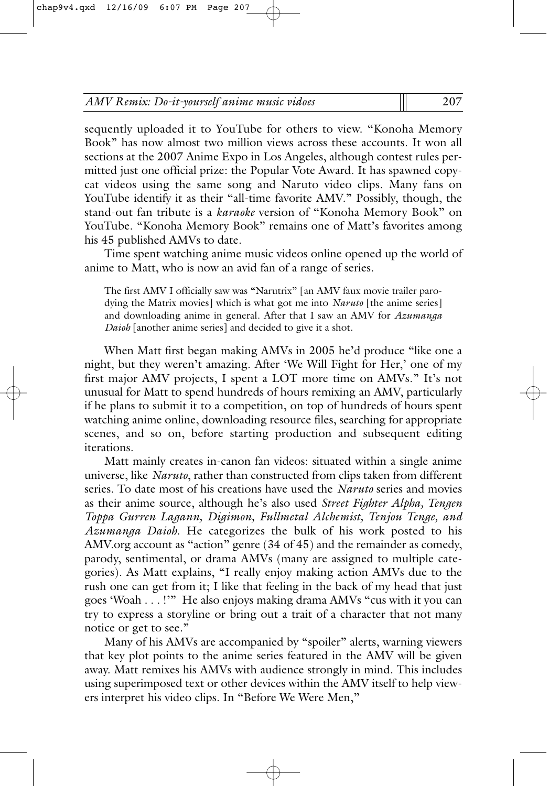| AMV Remix: Do-it-vourself anime music vidoes | 207 |
|----------------------------------------------|-----|
|----------------------------------------------|-----|

chap9v4.qxd  $12/16/09$  6:07

sequently uploaded it to YouTube for others to view. "Konoha Memory Book" has now almost two million views across these accounts. It won all sections at the 2007 Anime Expo in Los Angeles, although contest rules permitted just one official prize: the Popular Vote Award. It has spawned copycat videos using the same song and Naruto video clips. Many fans on YouTube identify it as their "all-time favorite AMV." Possibly, though, the stand-out fan tribute is a *karaoke* version of "Konoha Memory Book" on YouTube. "Konoha Memory Book" remains one of Matt's favorites among his 45 published AMVs to date.

Time spent watching anime music videos online opened up the world of anime to Matt, who is now an avid fan of a range of series.

The first AMV I officially saw was "Narutrix" [an AMV faux movie trailer parodying the Matrix movies] which is what got me into *Naruto* [the anime series] and downloading anime in general. After that I saw an AMV for *Azumanga Daioh* [another anime series] and decided to give it a shot.

When Matt first began making AMVs in 2005 he'd produce "like one a night, but they weren't amazing. After 'We Will Fight for Her,' one of my first major AMV projects, I spent a LOT more time on AMVs." It's not unusual for Matt to spend hundreds of hours remixing an AMV, particularly if he plans to submit it to a competition, on top of hundreds of hours spent watching anime online, downloading resource files, searching for appropriate scenes, and so on, before starting production and subsequent editing iterations.

Matt mainly creates in-canon fan videos: situated within a single anime universe, like *Naruto*, rather than constructed from clips taken from different series. To date most of his creations have used the *Naruto* series and movies as their anime source, although he's also used *Street Fighter Alpha, Tengen Toppa Gurren Lagann, Digimon, Fullmetal Alchemist, Tenjou Tenge, and Azumanga Daioh*. He categorizes the bulk of his work posted to his AMV.org account as "action" genre (34 of 45) and the remainder as comedy, parody, sentimental, or drama AMVs (many are assigned to multiple categories). As Matt explains, "I really enjoy making action AMVs due to the rush one can get from it; I like that feeling in the back of my head that just goes 'Woah . . . !'" He also enjoys making drama AMVs "cus with it you can try to express a storyline or bring out a trait of a character that not many notice or get to see."

Many of his AMVs are accompanied by "spoiler" alerts, warning viewers that key plot points to the anime series featured in the AMV will be given away. Matt remixes his AMVs with audience strongly in mind. This includes using superimposed text or other devices within the AMV itself to help viewers interpret his video clips. In "Before We Were Men,"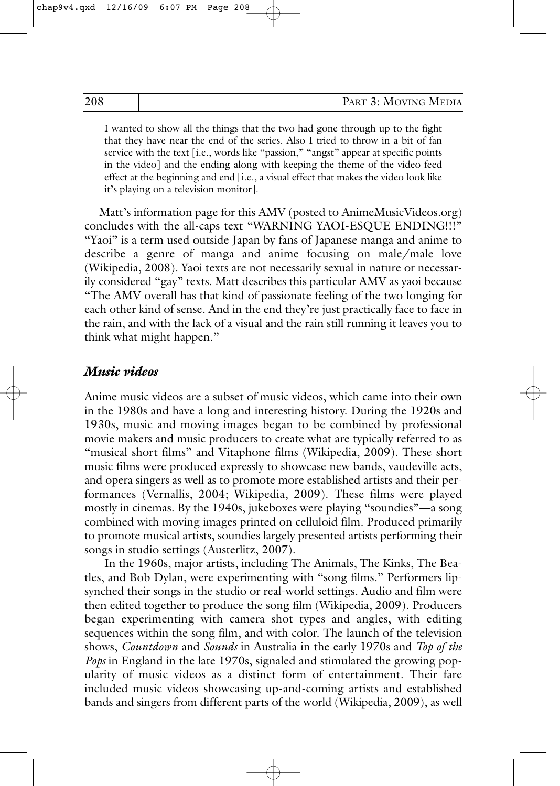#### 208 PART 3: MOVING MEDIA

I wanted to show all the things that the two had gone through up to the fight that they have near the end of the series. Also I tried to throw in a bit of fan service with the text [i.e., words like "passion," "angst" appear at specific points in the video] and the ending along with keeping the theme of the video feed effect at the beginning and end [i.e., a visual effect that makes the video look like it's playing on a television monitor].

Matt's information page for this AMV (posted to AnimeMusicVideos.org) concludes with the all-caps text "WARNING YAOI-ESQUE ENDING!!!" "Yaoi" is a term used outside Japan by fans of Japanese manga and anime to describe a genre of manga and anime focusing on male/male love (Wikipedia, 2008). Yaoi texts are not necessarily sexual in nature or necessarily considered "gay" texts. Matt describes this particular AMV as yaoi because "The AMV overall has that kind of passionate feeling of the two longing for each other kind of sense. And in the end they're just practically face to face in the rain, and with the lack of a visual and the rain still running it leaves you to think what might happen."

#### *Music videos*

Anime music videos are a subset of music videos, which came into their own in the 1980s and have a long and interesting history. During the 1920s and 1930s, music and moving images began to be combined by professional movie makers and music producers to create what are typically referred to as "musical short films" and Vitaphone films (Wikipedia, 2009). These short music films were produced expressly to showcase new bands, vaudeville acts, and opera singers as well as to promote more established artists and their performances (Vernallis, 2004; Wikipedia, 2009). These films were played mostly in cinemas. By the 1940s, jukeboxes were playing "soundies"—a song combined with moving images printed on celluloid film. Produced primarily to promote musical artists, soundies largely presented artists performing their songs in studio settings (Austerlitz, 2007).

In the 1960s, major artists, including The Animals, The Kinks, The Beatles, and Bob Dylan, were experimenting with "song films." Performers lipsynched their songs in the studio or real-world settings. Audio and film were then edited together to produce the song film (Wikipedia, 2009). Producers began experimenting with camera shot types and angles, with editing sequences within the song film, and with color. The launch of the television shows, *Countdown* and *Sounds* in Australia in the early 1970s and *Top of the Pops* in England in the late 1970s, signaled and stimulated the growing popularity of music videos as a distinct form of entertainment. Their fare included music videos showcasing up-and-coming artists and established bands and singers from different parts of the world (Wikipedia, 2009), as well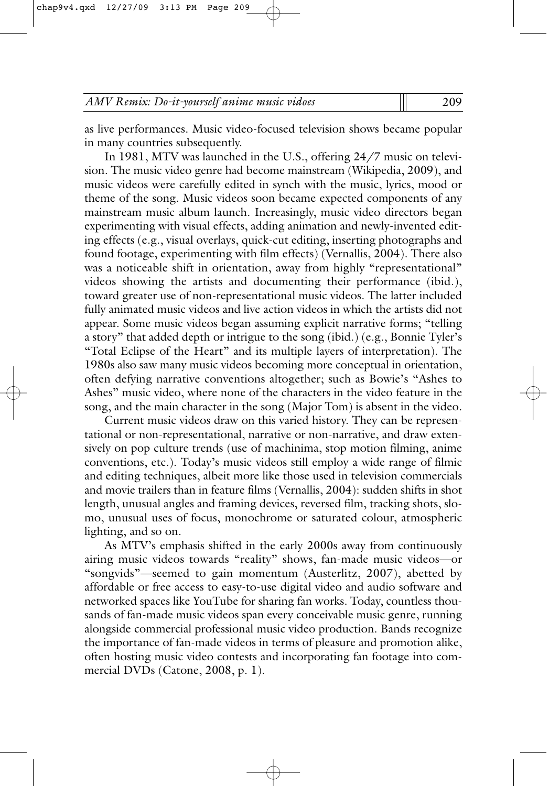| AMV Remix: Do-it-yourself anime music vidoes |  |  |
|----------------------------------------------|--|--|
|----------------------------------------------|--|--|

chap9v4.qxd 12/27/09 3:13 PM Page 209

as live performances. Music video-focused television shows became popular in many countries subsequently.

In 1981, MTV was launched in the U.S., offering 24/7 music on television. The music video genre had become mainstream (Wikipedia, 2009), and music videos were carefully edited in synch with the music, lyrics, mood or theme of the song. Music videos soon became expected components of any mainstream music album launch. Increasingly, music video directors began experimenting with visual effects, adding animation and newly-invented editing effects (e.g., visual overlays, quick-cut editing, inserting photographs and found footage, experimenting with film effects) (Vernallis, 2004). There also was a noticeable shift in orientation, away from highly "representational" videos showing the artists and documenting their performance (ibid.), toward greater use of non-representational music videos. The latter included fully animated music videos and live action videos in which the artists did not appear. Some music videos began assuming explicit narrative forms; "telling a story" that added depth or intrigue to the song (ibid.) (e.g., Bonnie Tyler's "Total Eclipse of the Heart" and its multiple layers of interpretation). The 1980s also saw many music videos becoming more conceptual in orientation, often defying narrative conventions altogether; such as Bowie's "Ashes to Ashes" music video, where none of the characters in the video feature in the song, and the main character in the song (Major Tom) is absent in the video.

Current music videos draw on this varied history. They can be representational or non-representational, narrative or non-narrative, and draw extensively on pop culture trends (use of machinima, stop motion filming, anime conventions, etc.). Today's music videos still employ a wide range of filmic and editing techniques, albeit more like those used in television commercials and movie trailers than in feature films (Vernallis, 2004): sudden shifts in shot length, unusual angles and framing devices, reversed film, tracking shots, slomo, unusual uses of focus, monochrome or saturated colour, atmospheric lighting, and so on.

As MTV's emphasis shifted in the early 2000s away from continuously airing music videos towards "reality" shows, fan-made music videos—or "songvids"—seemed to gain momentum (Austerlitz, 2007), abetted by affordable or free access to easy-to-use digital video and audio software and networked spaces like YouTube for sharing fan works. Today, countless thousands of fan-made music videos span every conceivable music genre, running alongside commercial professional music video production. Bands recognize the importance of fan-made videos in terms of pleasure and promotion alike, often hosting music video contests and incorporating fan footage into commercial DVDs (Catone, 2008, p. 1).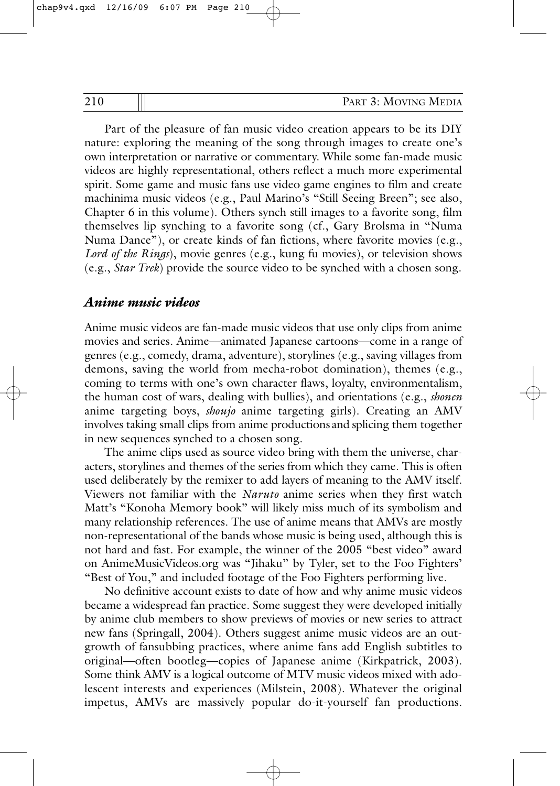| 210 |  | PART 3: MOVING MEDIA |
|-----|--|----------------------|
|-----|--|----------------------|

Part of the pleasure of fan music video creation appears to be its DIY nature: exploring the meaning of the song through images to create one's own interpretation or narrative or commentary. While some fan-made music videos are highly representational, others reflect a much more experimental spirit. Some game and music fans use video game engines to film and create machinima music videos (e.g., Paul Marino's "Still Seeing Breen"; see also, Chapter 6 in this volume). Others synch still images to a favorite song, film themselves lip synching to a favorite song (cf., Gary Brolsma in "Numa Numa Dance"), or create kinds of fan fictions, where favorite movies (e.g., *Lord of the Rings*), movie genres (e.g., kung fu movies), or television shows (e.g., *Star Trek*) provide the source video to be synched with a chosen song.

## *Anime music videos*

Anime music videos are fan-made music videos that use only clips from anime movies and series. Anime—animated Japanese cartoons—come in a range of genres (e.g., comedy, drama, adventure), storylines (e.g., saving villages from demons, saving the world from mecha-robot domination), themes (e.g., coming to terms with one's own character flaws, loyalty, environmentalism, the human cost of wars, dealing with bullies), and orientations (e.g., *shonen* anime targeting boys, *shoujo* anime targeting girls). Creating an AMV involves taking small clips from anime productionsand splicing them together in new sequences synched to a chosen song.

The anime clips used as source video bring with them the universe, characters, storylines and themes of the series from which they came. This is often used deliberately by the remixer to add layers of meaning to the AMV itself. Viewers not familiar with the *Naruto* anime series when they first watch Matt's "Konoha Memory book" will likely miss much of its symbolism and many relationship references. The use of anime means that AMVs are mostly non-representational of the bands whose music is being used, although this is not hard and fast. For example, the winner of the 2005 "best video" award on AnimeMusicVideos.org was "Jihaku" by Tyler, set to the Foo Fighters' "Best of You," and included footage of the Foo Fighters performing live.

No definitive account exists to date of how and why anime music videos became a widespread fan practice. Some suggest they were developed initially by anime club members to show previews of movies or new series to attract new fans (Springall, 2004). Others suggest anime music videos are an outgrowth of fansubbing practices, where anime fans add English subtitles to original—often bootleg—copies of Japanese anime (Kirkpatrick, 2003). Some think AMV is a logical outcome of MTV music videos mixed with adolescent interests and experiences (Milstein, 2008). Whatever the original impetus, AMVs are massively popular do-it-yourself fan productions.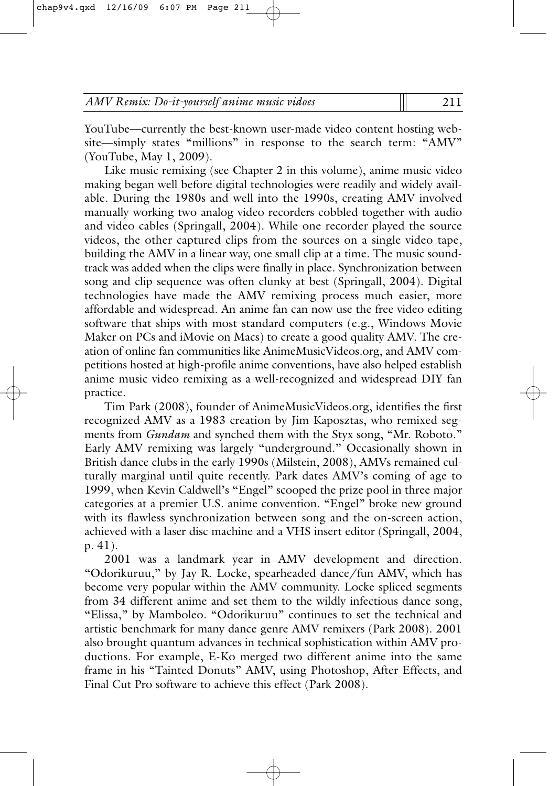| AMV Remix: Do-it-yourself anime music vidoes |
|----------------------------------------------|
|----------------------------------------------|

chap $9v4.$ qxd  $12/16/09$  6:07

YouTube—currently the best-known user-made video content hosting website—simply states "millions" in response to the search term: "AMV" (YouTube, May 1, 2009).

Like music remixing (see Chapter 2 in this volume), anime music video making began well before digital technologies were readily and widely available. During the 1980s and well into the 1990s, creating AMV involved manually working two analog video recorders cobbled together with audio and video cables (Springall, 2004). While one recorder played the source videos, the other captured clips from the sources on a single video tape, building the AMV in a linear way, one small clip at a time. The music soundtrack was added when the clips were finally in place. Synchronization between song and clip sequence was often clunky at best (Springall, 2004). Digital technologies have made the AMV remixing process much easier, more affordable and widespread. An anime fan can now use the free video editing software that ships with most standard computers (e.g., Windows Movie Maker on PCs and iMovie on Macs) to create a good quality AMV. The creation of online fan communities like AnimeMusicVideos.org, and AMV competitions hosted at high-profile anime conventions, have also helped establish anime music video remixing as a well-recognized and widespread DIY fan practice.

Tim Park (2008), founder of AnimeMusicVideos.org, identifies the first recognized AMV as a 1983 creation by Jim Kaposztas, who remixed segments from *Gundam* and synched them with the Styx song, "Mr. Roboto." Early AMV remixing was largely "underground." Occasionally shown in British dance clubs in the early 1990s (Milstein, 2008), AMVs remained culturally marginal until quite recently. Park dates AMV's coming of age to 1999, when Kevin Caldwell's "Engel" scooped the prize pool in three major categories at a premier U.S. anime convention. "Engel" broke new ground with its flawless synchronization between song and the on-screen action, achieved with a laser disc machine and a VHS insert editor (Springall, 2004, p. 41).

2001 was a landmark year in AMV development and direction. "Odorikuruu," by Jay R. Locke, spearheaded dance/fun AMV, which has become very popular within the AMV community. Locke spliced segments from 34 different anime and set them to the wildly infectious dance song, "Elissa," by Mamboleo. "Odorikuruu" continues to set the technical and artistic benchmark for many dance genre AMV remixers (Park 2008). 2001 also brought quantum advances in technical sophistication within AMV productions. For example, E-Ko merged two different anime into the same frame in his "Tainted Donuts" AMV, using Photoshop, After Effects, and Final Cut Pro software to achieve this effect (Park 2008).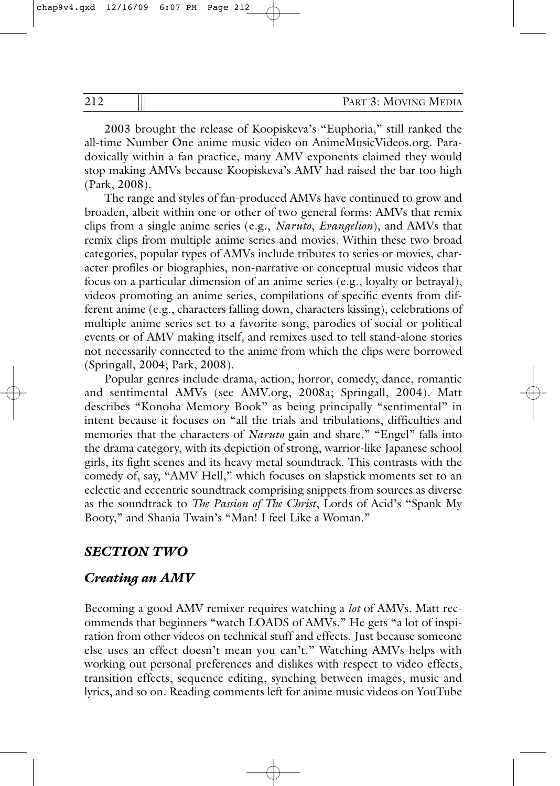| chap9v4.qxd 12/16/09 6:07 PM Page 212 |  |  |  |  |
|---------------------------------------|--|--|--|--|
|---------------------------------------|--|--|--|--|

|  | PART<br><b>MOVING</b><br><b>MEDIA</b><br>.<br>$\cdots$ |
|--|--------------------------------------------------------|
|--|--------------------------------------------------------|

2003 brought the release of Koopiskeva's "Euphoria," still ranked the all-time Number One anime music video on AnimeMusicVideos.org. Paradoxically within a fan practice, many AMV exponents claimed they would stop making AMVs because Koopiskeva's AMV had raised the bar too high (Park, 2008).

The range and styles of fan-produced AMVs have continued to grow and broaden, albeit within one or other of two general forms: AMVs that remix clips from a single anime series (e.g., *Naruto*, *Evangelion*), and AMVs that remix clips from multiple anime series and movies. Within these two broad categories, popular types of AMVs include tributes to series or movies, character profiles or biographies, non-narrative or conceptual music videos that focus on a particular dimension of an anime series (e.g., loyalty or betrayal), videos promoting an anime series, compilations of specific events from different anime (e.g., characters falling down, characters kissing), celebrations of multiple anime series set to a favorite song, parodies of social or political events or of AMV making itself, and remixes used to tell stand-alone stories not necessarily connected to the anime from which the clips were borrowed (Springall, 2004; Park, 2008).

Popular genres include drama, action, horror, comedy, dance, romantic and sentimental AMVs (see AMV.org, 2008a; Springall, 2004). Matt describes "Konoha Memory Book" as being principally "sentimental" in intent because it focuses on "all the trials and tribulations, difficulties and memories that the characters of *Naruto* gain and share." "Engel" falls into the drama category, with its depiction of strong, warrior-like Japanese school girls, its fight scenes and its heavy metal soundtrack. This contrasts with the comedy of, say, "AMV Hell," which focuses on slapstick moments set to an eclectic and eccentric soundtrack comprising snippets from sources as diverse as the soundtrack to *The Passion of The Christ*, Lords of Acid's "Spank My Booty," and Shania Twain's "Man! I feel Like a Woman."

## *SECTION TWO*

## *Creating an AMV*

Becoming a good AMV remixer requires watching a *lot* of AMVs. Matt recommends that beginners "watch LOADS of AMVs." He gets "a lot of inspiration from other videos on technical stuff and effects. Just because someone else uses an effect doesn't mean you can't." Watching AMVs helps with working out personal preferences and dislikes with respect to video effects, transition effects, sequence editing, synching between images, music and lyrics, and so on. Reading comments left for anime music videos on YouTube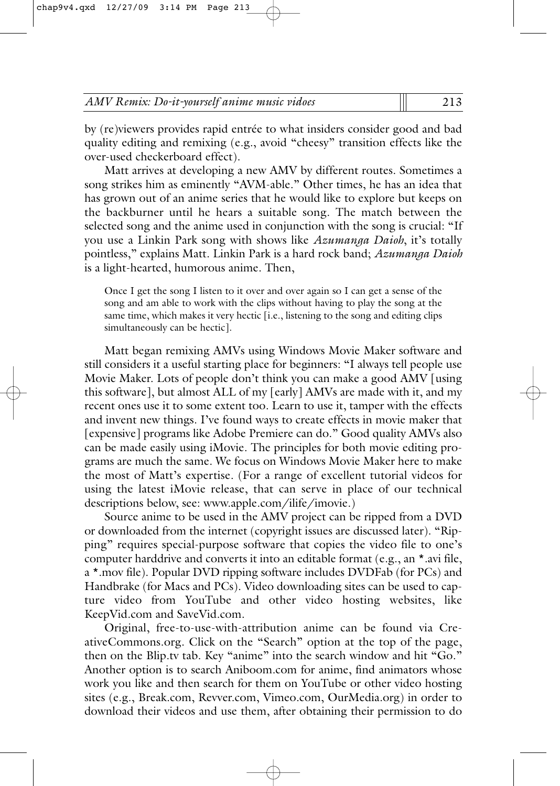| chap9v4.qxd 12/27/09 3:14 PM Page 213 |  |  |  |
|---------------------------------------|--|--|--|
|                                       |  |  |  |

| AMV Remix: Do-it-vourself anime music vidoes |  |
|----------------------------------------------|--|
|----------------------------------------------|--|

by (re)viewers provides rapid entrée to what insiders consider good and bad quality editing and remixing (e.g., avoid "cheesy" transition effects like the over-used checkerboard effect).

Matt arrives at developing a new AMV by different routes. Sometimes a song strikes him as eminently "AVM-able." Other times, he has an idea that has grown out of an anime series that he would like to explore but keeps on the backburner until he hears a suitable song. The match between the selected song and the anime used in conjunction with the song is crucial: "If you use a Linkin Park song with shows like *Azumanga Daioh*, it's totally pointless," explains Matt. Linkin Park is a hard rock band; *Azumanga Daioh* is a light-hearted, humorous anime. Then,

Once I get the song I listen to it over and over again so I can get a sense of the song and am able to work with the clips without having to play the song at the same time, which makes it very hectic [i.e., listening to the song and editing clips simultaneously can be hectic].

Matt began remixing AMVs using Windows Movie Maker software and still considers it a useful starting place for beginners: "I always tell people use Movie Maker. Lots of people don't think you can make a good AMV [using this software], but almost ALL of my [early] AMVs are made with it, and my recent ones use it to some extent too. Learn to use it, tamper with the effects and invent new things. I've found ways to create effects in movie maker that [expensive] programs like Adobe Premiere can do." Good quality AMVs also can be made easily using iMovie. The principles for both movie editing programs are much the same. We focus on Windows Movie Maker here to make the most of Matt's expertise. (For a range of excellent tutorial videos for using the latest iMovie release, that can serve in place of our technical descriptions below, see: www.apple.com/ilife/imovie.)

Source anime to be used in the AMV project can be ripped from a DVD or downloaded from the internet (copyright issues are discussed later). "Ripping" requires special-purpose software that copies the video file to one's computer harddrive and converts it into an editable format (e.g., an \*.avi file, a \*.mov file). Popular DVD ripping software includes DVDFab (for PCs) and Handbrake (for Macs and PCs). Video downloading sites can be used to capture video from YouTube and other video hosting websites, like KeepVid.com and SaveVid.com.

Original, free-to-use-with-attribution anime can be found via CreativeCommons.org. Click on the "Search" option at the top of the page, then on the Blip.tv tab. Key "anime" into the search window and hit "Go." Another option is to search Aniboom.com for anime, find animators whose work you like and then search for them on YouTube or other video hosting sites (e.g., Break.com, Revver.com, Vimeo.com, OurMedia.org) in order to download their videos and use them, after obtaining their permission to do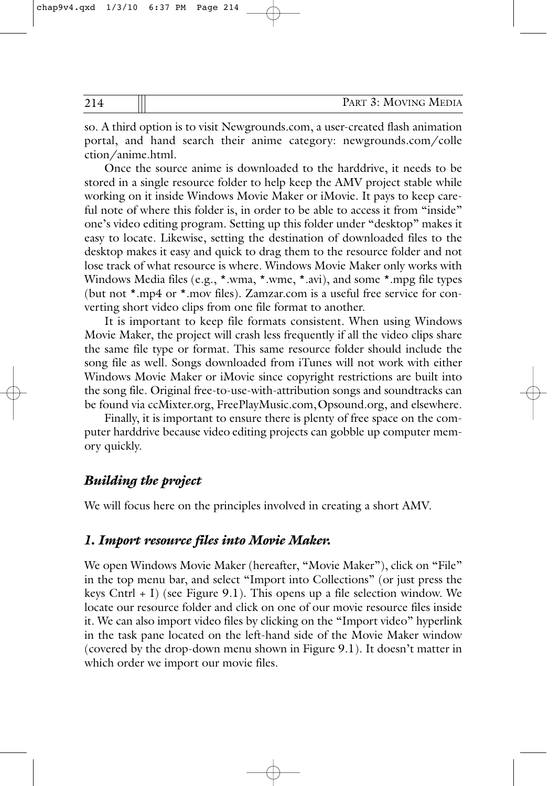|  | $D_{AD}$<br>$\alpha$ UNIC<br>MEDIA<br>IVI 1<br>$\mathcal{N}$<br>ING.<br>******<br>$\cdots$<br>$\overline{1}$ |
|--|--------------------------------------------------------------------------------------------------------------|
|--|--------------------------------------------------------------------------------------------------------------|

so. A third option is to visit Newgrounds.com, a user-created flash animation portal, and hand search their anime category: newgrounds.com/colle ction/anime.html.

Once the source anime is downloaded to the harddrive, it needs to be stored in a single resource folder to help keep the AMV project stable while working on it inside Windows Movie Maker or iMovie. It pays to keep careful note of where this folder is, in order to be able to access it from "inside" one's video editing program. Setting up this folder under "desktop" makes it easy to locate. Likewise, setting the destination of downloaded files to the desktop makes it easy and quick to drag them to the resource folder and not lose track of what resource is where. Windows Movie Maker only works with Windows Media files (e.g., \*.wma, \*.wme, \*.avi), and some \*.mpg file types (but not \*.mp4 or \*.mov files). Zamzar.com is a useful free service for converting short video clips from one file format to another.

It is important to keep file formats consistent. When using Windows Movie Maker, the project will crash less frequently if all the video clips share the same file type or format. This same resource folder should include the song file as well. Songs downloaded from iTunes will not work with either Windows Movie Maker or iMovie since copyright restrictions are built into the song file. Original free-to-use-with-attribution songs and soundtracks can be found via ccMixter.org, FreePlayMusic.com,Opsound.org, and elsewhere.

Finally, it is important to ensure there is plenty of free space on the computer harddrive because video editing projects can gobble up computer memory quickly.

## *Building the project*

We will focus here on the principles involved in creating a short AMV.

### *1. Import resource files into Movie Maker.*

We open Windows Movie Maker (hereafter, "Movie Maker"), click on "File" in the top menu bar, and select "Import into Collections" (or just press the keys Cntrl + I) (see Figure 9.1). This opens up a file selection window. We locate our resource folder and click on one of our movie resource files inside it. We can also import video files by clicking on the "Import video" hyperlink in the task pane located on the left-hand side of the Movie Maker window (covered by the drop-down menu shown in Figure 9.1). It doesn't matter in which order we import our movie files.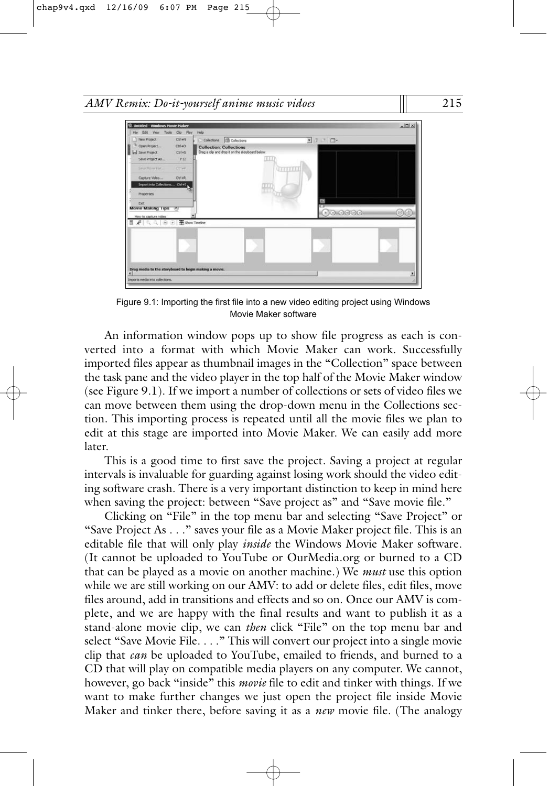



Figure 9.1: Importing the first file into a new video editing project using Windows Movie Maker software

An information window pops up to show file progress as each is converted into a format with which Movie Maker can work. Successfully imported files appear as thumbnail images in the "Collection" space between the task pane and the video player in the top half of the Movie Maker window (see Figure 9.1). If we import a number of collections or sets of video files we can move between them using the drop-down menu in the Collections section. This importing process is repeated until all the movie files we plan to edit at this stage are imported into Movie Maker. We can easily add more later.

This is a good time to first save the project. Saving a project at regular intervals is invaluable for guarding against losing work should the video editing software crash. There is a very important distinction to keep in mind here when saving the project: between "Save project as" and "Save movie file."

Clicking on "File" in the top menu bar and selecting "Save Project" or "Save Project As . . ." saves your file as a Movie Maker project file. This is an editable file that will only play *inside* the Windows Movie Maker software. (It cannot be uploaded to YouTube or OurMedia.org or burned to a CD that can be played as a movie on another machine.) We *must* use this option while we are still working on our AMV: to add or delete files, edit files, move files around, add in transitions and effects and so on. Once our AMV is complete, and we are happy with the final results and want to publish it as a stand-alone movie clip, we can *then* click "File" on the top menu bar and select "Save Movie File. . . ." This will convert our project into a single movie clip that *can* be uploaded to YouTube, emailed to friends, and burned to a CD that will play on compatible media players on any computer. We cannot, however, go back "inside" this *movie* file to edit and tinker with things. If we want to make further changes we just open the project file inside Movie Maker and tinker there, before saving it as a *new* movie file. (The analogy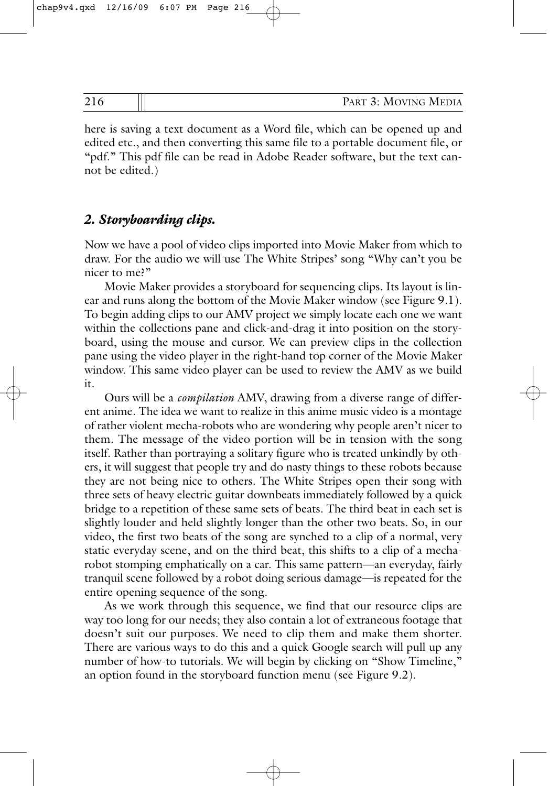| chap9v4.qxd 12/16/09 6:07 PM Page 216 |  |  |  |  |
|---------------------------------------|--|--|--|--|
|                                       |  |  |  |  |
|                                       |  |  |  |  |
|                                       |  |  |  |  |
|                                       |  |  |  |  |
|                                       |  |  |  |  |

| 216 | PART 3: MOVING MEDIA |
|-----|----------------------|
|-----|----------------------|

here is saving a text document as a Word file, which can be opened up and edited etc., and then converting this same file to a portable document file, or "pdf." This pdf file can be read in Adobe Reader software, but the text cannot be edited.)

## *2. Storyboarding clips.*

Now we have a pool of video clips imported into Movie Maker from which to draw. For the audio we will use The White Stripes' song "Why can't you be nicer to me?"

Movie Maker provides a storyboard for sequencing clips. Its layout is linear and runs along the bottom of the Movie Maker window (see Figure 9.1). To begin adding clips to our AMV project we simply locate each one we want within the collections pane and click-and-drag it into position on the storyboard, using the mouse and cursor. We can preview clips in the collection pane using the video player in the right-hand top corner of the Movie Maker window. This same video player can be used to review the AMV as we build it.

Ours will be a *compilation* AMV, drawing from a diverse range of different anime. The idea we want to realize in this anime music video is a montage of rather violent mecha-robots who are wondering why people aren't nicer to them. The message of the video portion will be in tension with the song itself. Rather than portraying a solitary figure who is treated unkindly by others, it will suggest that people try and do nasty things to these robots because they are not being nice to others. The White Stripes open their song with three sets of heavy electric guitar downbeats immediately followed by a quick bridge to a repetition of these same sets of beats. The third beat in each set is slightly louder and held slightly longer than the other two beats. So, in our video, the first two beats of the song are synched to a clip of a normal, very static everyday scene, and on the third beat, this shifts to a clip of a mecharobot stomping emphatically on a car. This same pattern—an everyday, fairly tranquil scene followed by a robot doing serious damage—is repeated for the entire opening sequence of the song.

As we work through this sequence, we find that our resource clips are way too long for our needs; they also contain a lot of extraneous footage that doesn't suit our purposes. We need to clip them and make them shorter. There are various ways to do this and a quick Google search will pull up any number of how-to tutorials. We will begin by clicking on "Show Timeline," an option found in the storyboard function menu (see Figure 9.2).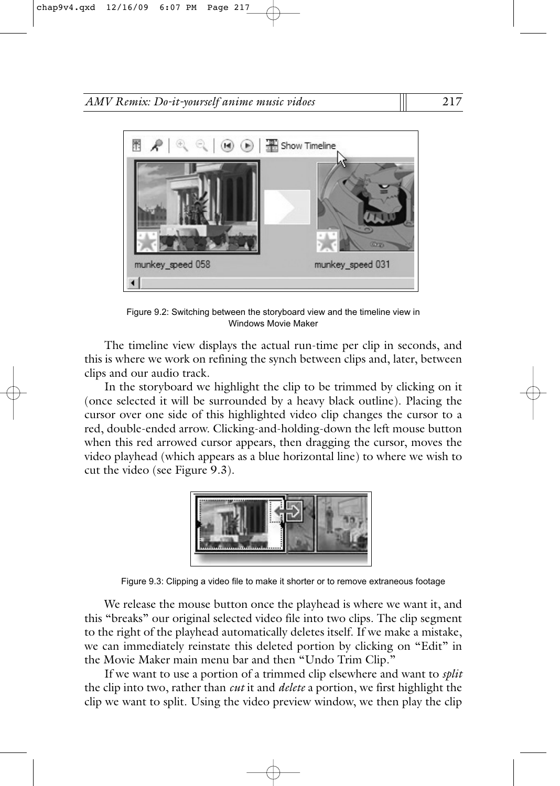#### *AMV Remix: Do-it-yourself anime music vidoes* 217

Figure 9.2: Switching between the storyboard view and the timeline view in Windows Movie Maker

The timeline view displays the actual run-time per clip in seconds, and this is where we work on refining the synch between clips and, later, between clips and our audio track.

In the storyboard we highlight the clip to be trimmed by clicking on it (once selected it will be surrounded by a heavy black outline). Placing the cursor over one side of this highlighted video clip changes the cursor to a red, double-ended arrow. Clicking-and-holding-down the left mouse button when this red arrowed cursor appears, then dragging the cursor, moves the video playhead (which appears as a blue horizontal line) to where we wish to cut the video (see Figure 9.3).



Figure 9.3: Clipping a video file to make it shorter or to remove extraneous footage

We release the mouse button once the playhead is where we want it, and this "breaks" our original selected video file into two clips. The clip segment to the right of the playhead automatically deletes itself. If we make a mistake, we can immediately reinstate this deleted portion by clicking on "Edit" in the Movie Maker main menu bar and then "Undo Trim Clip."

If we want to use a portion of a trimmed clip elsewhere and want to *split* the clip into two, rather than *cut* it and *delete* a portion, we first highlight the clip we want to split. Using the video preview window, we then play the clip

$$
217
$$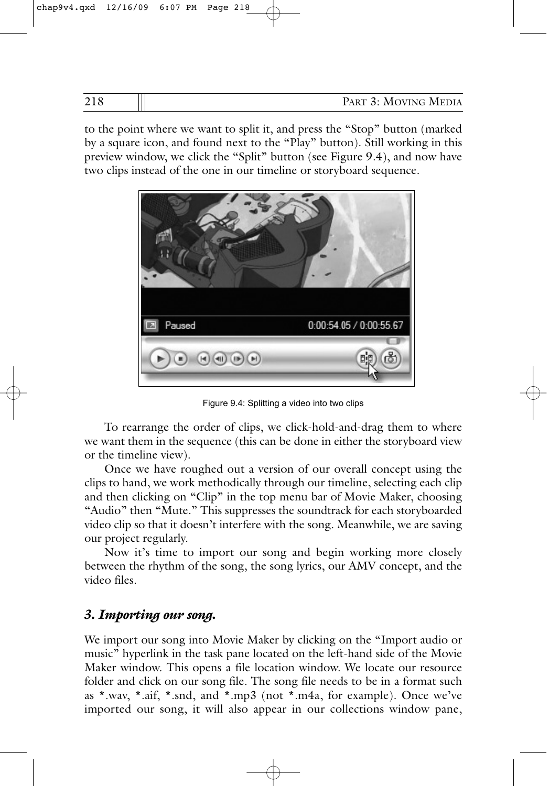|  | $D_{\text{ART}}$<br><b>OVING</b><br>MEDIA<br>AZL.<br>$\cdots$<br>, ,, , , |
|--|---------------------------------------------------------------------------|
|--|---------------------------------------------------------------------------|

to the point where we want to split it, and press the "Stop" button (marked by a square icon, and found next to the "Play" button). Still working in this preview window, we click the "Split" button (see Figure 9.4), and now have two clips instead of the one in our timeline or storyboard sequence.



Figure 9.4: Splitting a video into two clips

To rearrange the order of clips, we click-hold-and-drag them to where we want them in the sequence (this can be done in either the storyboard view or the timeline view).

Once we have roughed out a version of our overall concept using the clips to hand, we work methodically through our timeline, selecting each clip and then clicking on "Clip" in the top menu bar of Movie Maker, choosing "Audio" then "Mute." This suppresses the soundtrack for each storyboarded video clip so that it doesn't interfere with the song. Meanwhile, we are saving our project regularly.

Now it's time to import our song and begin working more closely between the rhythm of the song, the song lyrics, our AMV concept, and the video files.

## *3. Importing our song.*

We import our song into Movie Maker by clicking on the "Import audio or music" hyperlink in the task pane located on the left-hand side of the Movie Maker window. This opens a file location window. We locate our resource folder and click on our song file. The song file needs to be in a format such as \*.wav, \*.aif, \*.snd, and \*.mp3 (not \*.m4a, for example). Once we've imported our song, it will also appear in our collections window pane,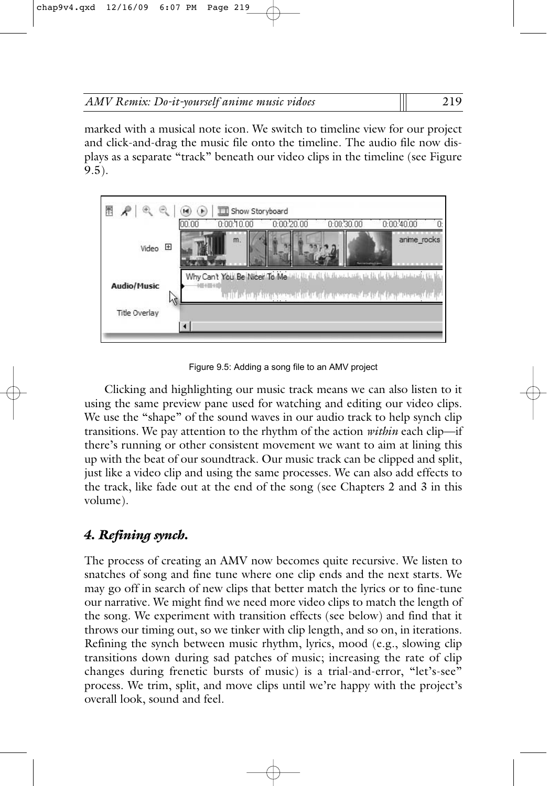| AMV Remix: Do-it-yourself anime music vidoes |  | 219 |
|----------------------------------------------|--|-----|
|----------------------------------------------|--|-----|

marked with a musical note icon. We switch to timeline view for our project and click-and-drag the music file onto the timeline. The audio file now displays as a separate "track" beneath our video clips in the timeline (see Figure 9.5).



Figure 9.5: Adding a song file to an AMV project

Clicking and highlighting our music track means we can also listen to it using the same preview pane used for watching and editing our video clips. We use the "shape" of the sound waves in our audio track to help synch clip transitions. We pay attention to the rhythm of the action *within* each clip—if there's running or other consistent movement we want to aim at lining this up with the beat of our soundtrack. Our music track can be clipped and split, just like a video clip and using the same processes. We can also add effects to the track, like fade out at the end of the song (see Chapters 2 and 3 in this volume).

# *4. Refining synch.*

The process of creating an AMV now becomes quite recursive. We listen to snatches of song and fine tune where one clip ends and the next starts. We may go off in search of new clips that better match the lyrics or to fine-tune our narrative. We might find we need more video clips to match the length of the song. We experiment with transition effects (see below) and find that it throws our timing out, so we tinker with clip length, and so on, in iterations. Refining the synch between music rhythm, lyrics, mood (e.g., slowing clip transitions down during sad patches of music; increasing the rate of clip changes during frenetic bursts of music) is a trial-and-error, "let's-see" process. We trim, split, and move clips until we're happy with the project's overall look, sound and feel.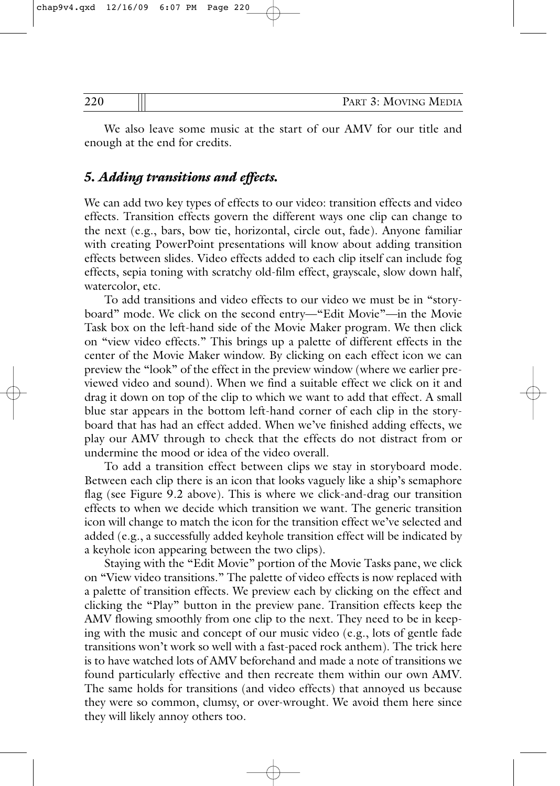| chap9v4.qxd 12/16/09 6:07 PM Page 220 |  |                      |
|---------------------------------------|--|----------------------|
|                                       |  |                      |
| 220                                   |  | PART 3: MOVING MEDIA |

We also leave some music at the start of our AMV for our title and enough at the end for credits.

## *5. Adding transitions and effects.*

We can add two key types of effects to our video: transition effects and video effects. Transition effects govern the different ways one clip can change to the next (e.g., bars, bow tie, horizontal, circle out, fade). Anyone familiar with creating PowerPoint presentations will know about adding transition effects between slides. Video effects added to each clip itself can include fog effects, sepia toning with scratchy old-film effect, grayscale, slow down half, watercolor, etc.

To add transitions and video effects to our video we must be in "storyboard" mode. We click on the second entry—"Edit Movie"—in the Movie Task box on the left-hand side of the Movie Maker program. We then click on "view video effects." This brings up a palette of different effects in the center of the Movie Maker window. By clicking on each effect icon we can preview the "look" of the effect in the preview window (where we earlier previewed video and sound). When we find a suitable effect we click on it and drag it down on top of the clip to which we want to add that effect. A small blue star appears in the bottom left-hand corner of each clip in the storyboard that has had an effect added. When we've finished adding effects, we play our AMV through to check that the effects do not distract from or undermine the mood or idea of the video overall.

To add a transition effect between clips we stay in storyboard mode. Between each clip there is an icon that looks vaguely like a ship's semaphore flag (see Figure 9.2 above). This is where we click-and-drag our transition effects to when we decide which transition we want. The generic transition icon will change to match the icon for the transition effect we've selected and added (e.g., a successfully added keyhole transition effect will be indicated by a keyhole icon appearing between the two clips).

Staying with the "Edit Movie" portion of the Movie Tasks pane, we click on "View video transitions." The palette of video effects is now replaced with a palette of transition effects. We preview each by clicking on the effect and clicking the "Play" button in the preview pane. Transition effects keep the AMV flowing smoothly from one clip to the next. They need to be in keeping with the music and concept of our music video (e.g., lots of gentle fade transitions won't work so well with a fast-paced rock anthem). The trick here is to have watched lots of AMV beforehand and made a note of transitions we found particularly effective and then recreate them within our own AMV. The same holds for transitions (and video effects) that annoyed us because they were so common, clumsy, or over-wrought. We avoid them here since they will likely annoy others too.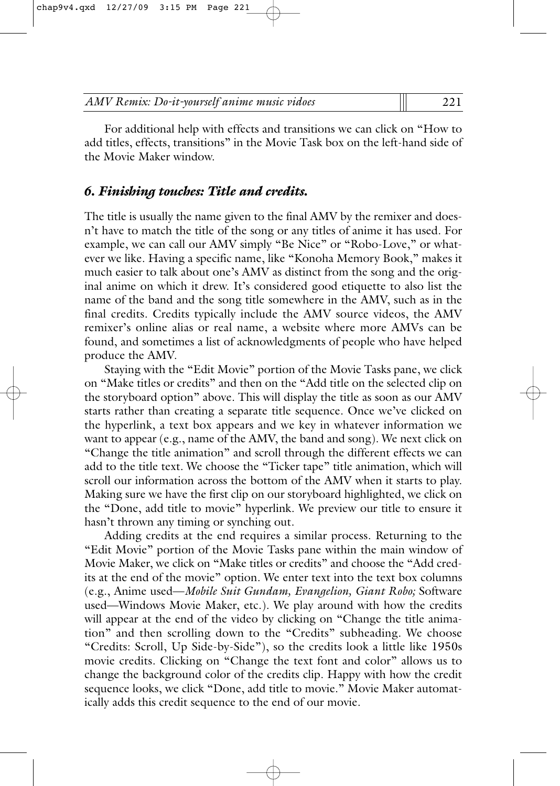| AMV Remix: Do-it-yourself anime music vidoes |  |
|----------------------------------------------|--|
|----------------------------------------------|--|

For additional help with effects and transitions we can click on "How to add titles, effects, transitions" in the Movie Task box on the left-hand side of the Movie Maker window.

### *6. Finishing touches: Title and credits.*

chap9v4.qxd 12/27/09 3:15 PM

The title is usually the name given to the final AMV by the remixer and doesn't have to match the title of the song or any titles of anime it has used. For example, we can call our AMV simply "Be Nice" or "Robo-Love," or whatever we like. Having a specific name, like "Konoha Memory Book," makes it much easier to talk about one's AMV as distinct from the song and the original anime on which it drew. It's considered good etiquette to also list the name of the band and the song title somewhere in the AMV, such as in the final credits. Credits typically include the AMV source videos, the AMV remixer's online alias or real name, a website where more AMVs can be found, and sometimes a list of acknowledgments of people who have helped produce the AMV.

Staying with the "Edit Movie" portion of the Movie Tasks pane, we click on "Make titles or credits" and then on the "Add title on the selected clip on the storyboard option" above. This will display the title as soon as our AMV starts rather than creating a separate title sequence. Once we've clicked on the hyperlink, a text box appears and we key in whatever information we want to appear (e.g., name of the AMV, the band and song). We next click on "Change the title animation" and scroll through the different effects we can add to the title text. We choose the "Ticker tape" title animation, which will scroll our information across the bottom of the AMV when it starts to play. Making sure we have the first clip on our storyboard highlighted, we click on the "Done, add title to movie" hyperlink. We preview our title to ensure it hasn't thrown any timing or synching out.

Adding credits at the end requires a similar process. Returning to the "Edit Movie" portion of the Movie Tasks pane within the main window of Movie Maker, we click on "Make titles or credits" and choose the "Add credits at the end of the movie" option. We enter text into the text box columns (e.g., Anime used—*Mobile Suit Gundam, Evangelion, Giant Robo;* Software used—Windows Movie Maker, etc.). We play around with how the credits will appear at the end of the video by clicking on "Change the title animation" and then scrolling down to the "Credits" subheading. We choose "Credits: Scroll, Up Side-by-Side"), so the credits look a little like 1950s movie credits. Clicking on "Change the text font and color" allows us to change the background color of the credits clip. Happy with how the credit sequence looks, we click "Done, add title to movie." Movie Maker automatically adds this credit sequence to the end of our movie.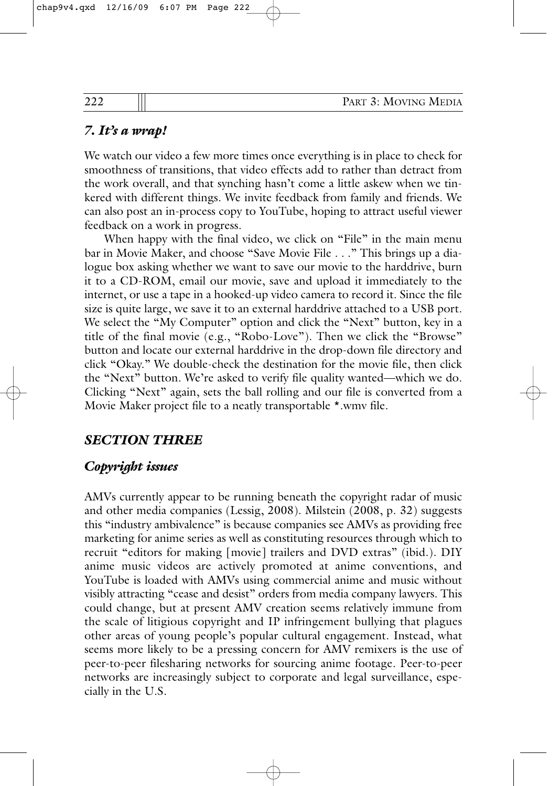#### chap9v4.qxd 12/16/09 6:07 PM

#### *7. It's a wrap!*

We watch our video a few more times once everything is in place to check for smoothness of transitions, that video effects add to rather than detract from the work overall, and that synching hasn't come a little askew when we tinkered with different things. We invite feedback from family and friends. We can also post an in-process copy to YouTube, hoping to attract useful viewer feedback on a work in progress.

When happy with the final video, we click on "File" in the main menu bar in Movie Maker, and choose "Save Movie File . . ." This brings up a dialogue box asking whether we want to save our movie to the harddrive, burn it to a CD-ROM, email our movie, save and upload it immediately to the internet, or use a tape in a hooked-up video camera to record it. Since the file size is quite large, we save it to an external harddrive attached to a USB port. We select the "My Computer" option and click the "Next" button, key in a title of the final movie (e.g., "Robo-Love"). Then we click the "Browse" button and locate our external harddrive in the drop-down file directory and click "Okay." We double-check the destination for the movie file, then click the "Next" button. We're asked to verify file quality wanted—which we do. Clicking "Next" again, sets the ball rolling and our file is converted from a Movie Maker project file to a neatly transportable \*.wmv file.

## *SECTION THREE*

#### *Copyright issues*

AMVs currently appear to be running beneath the copyright radar of music and other media companies (Lessig, 2008). Milstein (2008, p. 32) suggests this "industry ambivalence" is because companies see AMVs as providing free marketing for anime series as well as constituting resources through which to recruit "editors for making [movie] trailers and DVD extras" (ibid.). DIY anime music videos are actively promoted at anime conventions, and YouTube is loaded with AMVs using commercial anime and music without visibly attracting "cease and desist" orders from media company lawyers. This could change, but at present AMV creation seems relatively immune from the scale of litigious copyright and IP infringement bullying that plagues other areas of young people's popular cultural engagement. Instead, what seems more likely to be a pressing concern for AMV remixers is the use of peer-to-peer filesharing networks for sourcing anime footage. Peer-to-peer networks are increasingly subject to corporate and legal surveillance, especially in the U.S.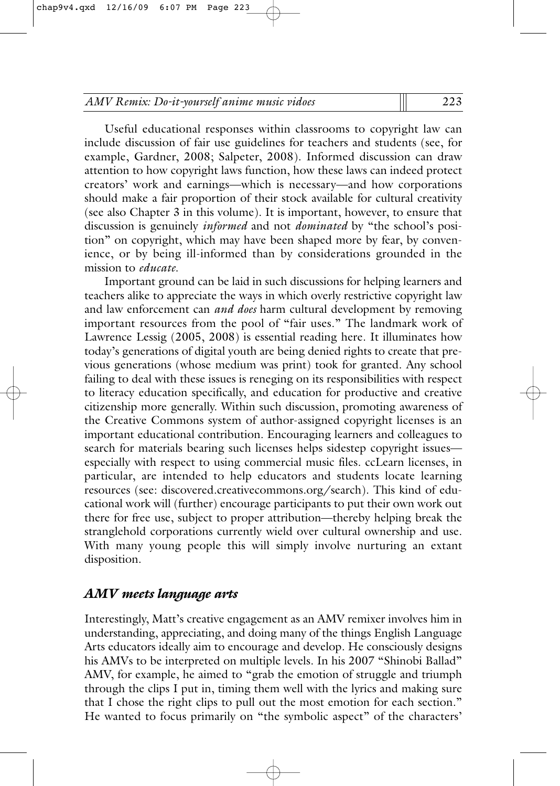| AMV Remix: Do-it-yourself anime music vidoes |  |
|----------------------------------------------|--|
|                                              |  |

Useful educational responses within classrooms to copyright law can include discussion of fair use guidelines for teachers and students (see, for example, Gardner, 2008; Salpeter, 2008). Informed discussion can draw attention to how copyright laws function, how these laws can indeed protect creators' work and earnings—which is necessary—and how corporations should make a fair proportion of their stock available for cultural creativity (see also Chapter 3 in this volume). It is important, however, to ensure that discussion is genuinely *informed* and not *dominated* by "the school's position" on copyright, which may have been shaped more by fear, by convenience, or by being ill-informed than by considerations grounded in the mission to *educate*.

Important ground can be laid in such discussions for helping learners and teachers alike to appreciate the ways in which overly restrictive copyright law and law enforcement can *and does* harm cultural development by removing important resources from the pool of "fair uses." The landmark work of Lawrence Lessig (2005, 2008) is essential reading here. It illuminates how today's generations of digital youth are being denied rights to create that previous generations (whose medium was print) took for granted. Any school failing to deal with these issues is reneging on its responsibilities with respect to literacy education specifically, and education for productive and creative citizenship more generally. Within such discussion, promoting awareness of the Creative Commons system of author-assigned copyright licenses is an important educational contribution. Encouraging learners and colleagues to search for materials bearing such licenses helps sidestep copyright issues especially with respect to using commercial music files. ccLearn licenses, in particular, are intended to help educators and students locate learning resources (see: discovered.creativecommons.org/search). This kind of educational work will (further) encourage participants to put their own work out there for free use, subject to proper attribution—thereby helping break the stranglehold corporations currently wield over cultural ownership and use. With many young people this will simply involve nurturing an extant disposition.

## *AMV meets language arts*

chap9v4.qxd  $12/16/09$  6:07

Interestingly, Matt's creative engagement as an AMV remixer involves him in understanding, appreciating, and doing many of the things English Language Arts educators ideally aim to encourage and develop. He consciously designs his AMVs to be interpreted on multiple levels. In his 2007 "Shinobi Ballad" AMV, for example, he aimed to "grab the emotion of struggle and triumph through the clips I put in, timing them well with the lyrics and making sure that I chose the right clips to pull out the most emotion for each section." He wanted to focus primarily on "the symbolic aspect" of the characters'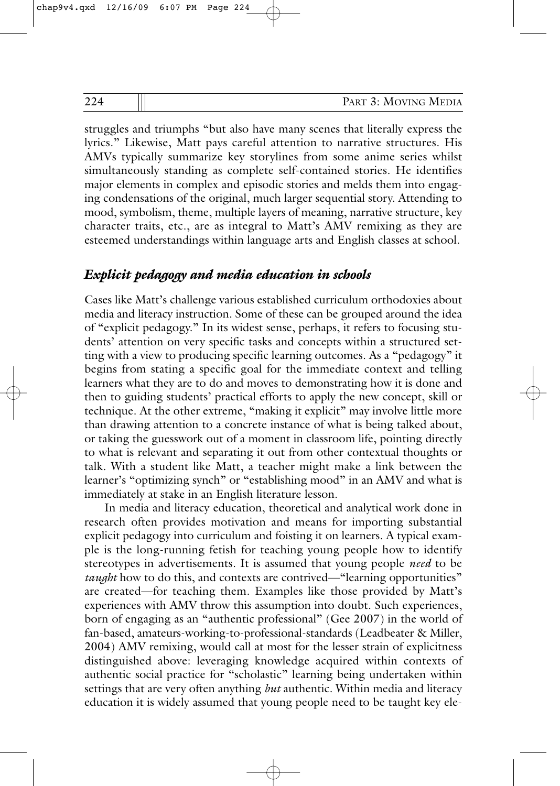chap9v4.qxd 12/16/09 6:07

# 224 III PART 3: MOVING MEDIA

struggles and triumphs "but also have many scenes that literally express the lyrics." Likewise, Matt pays careful attention to narrative structures. His AMVs typically summarize key storylines from some anime series whilst simultaneously standing as complete self-contained stories. He identifies major elements in complex and episodic stories and melds them into engaging condensations of the original, much larger sequential story. Attending to mood, symbolism, theme, multiple layers of meaning, narrative structure, key character traits, etc., are as integral to Matt's AMV remixing as they are esteemed understandings within language arts and English classes at school.

## *Explicit pedagogy and media education in schools*

Cases like Matt's challenge various established curriculum orthodoxies about media and literacy instruction. Some of these can be grouped around the idea of "explicit pedagogy." In its widest sense, perhaps, it refers to focusing students' attention on very specific tasks and concepts within a structured setting with a view to producing specific learning outcomes. As a "pedagogy" it begins from stating a specific goal for the immediate context and telling learners what they are to do and moves to demonstrating how it is done and then to guiding students' practical efforts to apply the new concept, skill or technique. At the other extreme, "making it explicit" may involve little more than drawing attention to a concrete instance of what is being talked about, or taking the guesswork out of a moment in classroom life, pointing directly to what is relevant and separating it out from other contextual thoughts or talk. With a student like Matt, a teacher might make a link between the learner's "optimizing synch" or "establishing mood" in an AMV and what is immediately at stake in an English literature lesson.

In media and literacy education, theoretical and analytical work done in research often provides motivation and means for importing substantial explicit pedagogy into curriculum and foisting it on learners. A typical example is the long-running fetish for teaching young people how to identify stereotypes in advertisements. It is assumed that young people *need* to be *taught* how to do this, and contexts are contrived—"learning opportunities" are created—for teaching them. Examples like those provided by Matt's experiences with AMV throw this assumption into doubt. Such experiences, born of engaging as an "authentic professional" (Gee 2007) in the world of fan-based, amateurs-working-to-professional-standards (Leadbeater & Miller, 2004) AMV remixing, would call at most for the lesser strain of explicitness distinguished above: leveraging knowledge acquired within contexts of authentic social practice for "scholastic" learning being undertaken within settings that are very often anything *but* authentic. Within media and literacy education it is widely assumed that young people need to be taught key ele-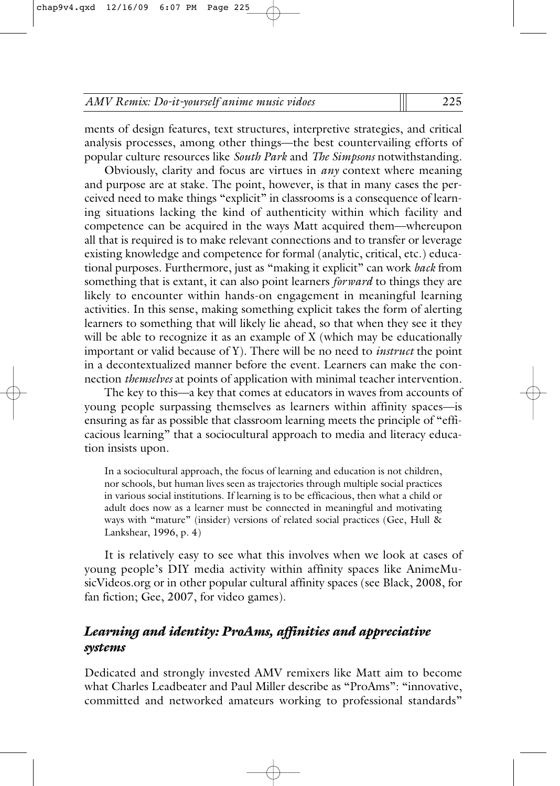| AMV Remix: Do-it-yourself anime music vidoes | 225 |
|----------------------------------------------|-----|
|----------------------------------------------|-----|

chap9v4.qxd 12/16/09 6:07 PM

ments of design features, text structures, interpretive strategies, and critical analysis processes, among other things—the best countervailing efforts of popular culture resources like *South Park* and *The Simpsons* notwithstanding.

Obviously, clarity and focus are virtues in *any* context where meaning and purpose are at stake. The point, however, is that in many cases the perceived need to make things "explicit" in classrooms is a consequence of learning situations lacking the kind of authenticity within which facility and competence can be acquired in the ways Matt acquired them—whereupon all that is required is to make relevant connections and to transfer or leverage existing knowledge and competence for formal (analytic, critical, etc.) educational purposes. Furthermore, just as "making it explicit" can work *back* from something that is extant, it can also point learners *forward* to things they are likely to encounter within hands-on engagement in meaningful learning activities. In this sense, making something explicit takes the form of alerting learners to something that will likely lie ahead, so that when they see it they will be able to recognize it as an example of X (which may be educationally important or valid because of Y). There will be no need to *instruct* the point in a decontextualized manner before the event. Learners can make the connection *themselves* at points of application with minimal teacher intervention.

The key to this—a key that comes at educators in waves from accounts of young people surpassing themselves as learners within affinity spaces—is ensuring as far as possible that classroom learning meets the principle of "efficacious learning" that a sociocultural approach to media and literacy education insists upon.

In a sociocultural approach, the focus of learning and education is not children, nor schools, but human lives seen as trajectories through multiple social practices in various social institutions. If learning is to be efficacious, then what a child or adult does now as a learner must be connected in meaningful and motivating ways with "mature" (insider) versions of related social practices (Gee, Hull & Lankshear, 1996, p. 4)

It is relatively easy to see what this involves when we look at cases of young people's DIY media activity within affinity spaces like AnimeMusicVideos.org or in other popular cultural affinity spaces (see Black, 2008, for fan fiction; Gee, 2007, for video games).

# *Learning and identity: ProAms, affinities and appreciative systems*

Dedicated and strongly invested AMV remixers like Matt aim to become what Charles Leadbeater and Paul Miller describe as "ProAms": "innovative, committed and networked amateurs working to professional standards"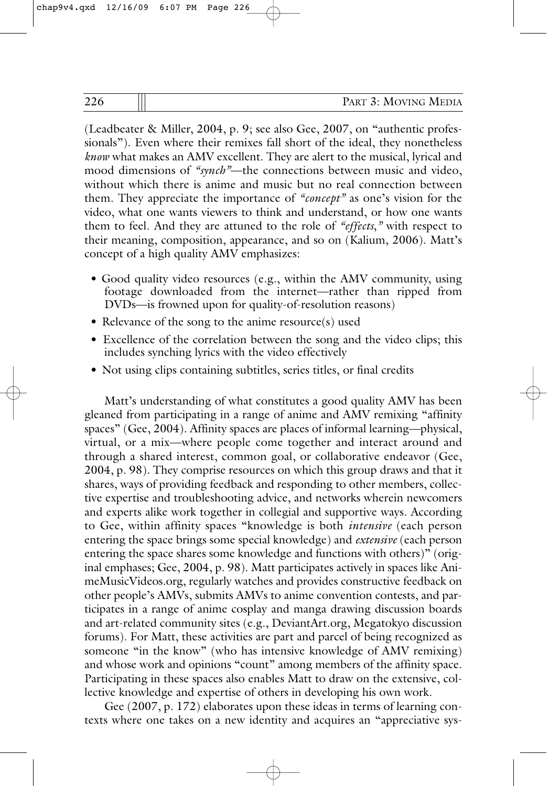#### 226 III DE PART 3: MOVING MEDIA

(Leadbeater & Miller, 2004, p. 9; see also Gee, 2007, on "authentic professionals"). Even where their remixes fall short of the ideal, they nonetheless *know* what makes an AMV excellent. They are alert to the musical, lyrical and mood dimensions of *"synch"*—the connections between music and video, without which there is anime and music but no real connection between them. They appreciate the importance of *"concept"* as one's vision for the video, what one wants viewers to think and understand, or how one wants them to feel. And they are attuned to the role of *"effects*,*"* with respect to their meaning, composition, appearance, and so on (Kalium, 2006). Matt's concept of a high quality AMV emphasizes:

- Good quality video resources (e.g., within the AMV community, using footage downloaded from the internet—rather than ripped from DVDs—is frowned upon for quality-of-resolution reasons)
- Relevance of the song to the anime resource(s) used
- Excellence of the correlation between the song and the video clips; this includes synching lyrics with the video effectively
- Not using clips containing subtitles, series titles, or final credits

Matt's understanding of what constitutes a good quality AMV has been gleaned from participating in a range of anime and AMV remixing "affinity spaces" (Gee, 2004). Affinity spaces are places of informal learning—physical, virtual, or a mix—where people come together and interact around and through a shared interest, common goal, or collaborative endeavor (Gee, 2004, p. 98). They comprise resources on which this group draws and that it shares, ways of providing feedback and responding to other members, collective expertise and troubleshooting advice, and networks wherein newcomers and experts alike work together in collegial and supportive ways. According to Gee, within affinity spaces "knowledge is both *intensive* (each person entering the space brings some special knowledge) and *extensive* (each person entering the space shares some knowledge and functions with others)" (original emphases; Gee, 2004, p. 98). Matt participates actively in spaces like AnimeMusicVideos.org, regularly watches and provides constructive feedback on other people's AMVs, submits AMVs to anime convention contests, and participates in a range of anime cosplay and manga drawing discussion boards and art-related community sites (e.g., DeviantArt.org, Megatokyo discussion forums). For Matt, these activities are part and parcel of being recognized as someone "in the know" (who has intensive knowledge of AMV remixing) and whose work and opinions "count" among members of the affinity space. Participating in these spaces also enables Matt to draw on the extensive, collective knowledge and expertise of others in developing his own work.

Gee (2007, p. 172) elaborates upon these ideas in terms of learning contexts where one takes on a new identity and acquires an "appreciative sys-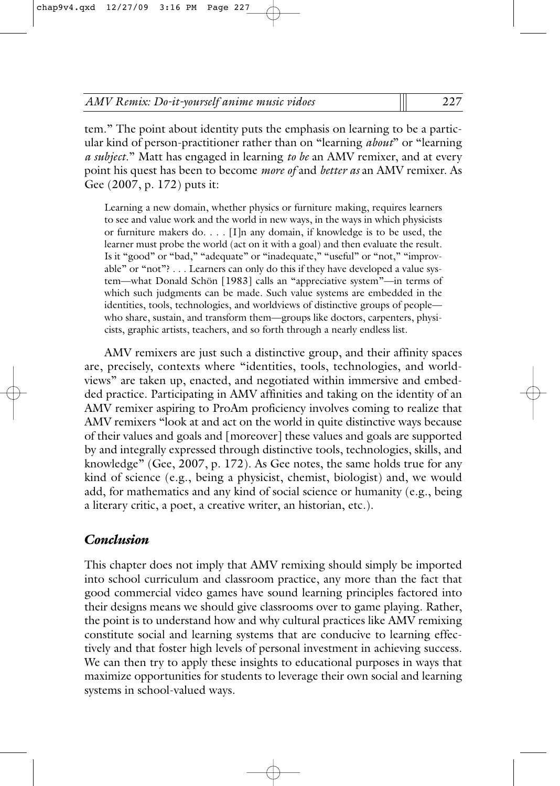| AMV Remix: Do-it-yourself anime music vidoes |  |  |
|----------------------------------------------|--|--|
|----------------------------------------------|--|--|

tem." The point about identity puts the emphasis on learning to be a particular kind of person-practitioner rather than on "learning *about*" or "learning *a subject*." Matt has engaged in learning *to be* an AMV remixer, and at every point his quest has been to become *more of* and *better as* an AMV remixer. As Gee (2007, p. 172) puts it:

Learning a new domain, whether physics or furniture making, requires learners to see and value work and the world in new ways, in the ways in which physicists or furniture makers do.  $\ldots$  [I]n any domain, if knowledge is to be used, the learner must probe the world (act on it with a goal) and then evaluate the result. Is it "good" or "bad," "adequate" or "inadequate," "useful" or "not," "improvable" or "not"? . . . Learners can only do this if they have developed a value system—what Donald Schön [1983] calls an "appreciative system"—in terms of which such judgments can be made. Such value systems are embedded in the identities, tools, technologies, and worldviews of distinctive groups of people who share, sustain, and transform them—groups like doctors, carpenters, physicists, graphic artists, teachers, and so forth through a nearly endless list.

AMV remixers are just such a distinctive group, and their affinity spaces are, precisely, contexts where "identities, tools, technologies, and worldviews" are taken up, enacted, and negotiated within immersive and embedded practice. Participating in AMV affinities and taking on the identity of an AMV remixer aspiring to ProAm proficiency involves coming to realize that AMV remixers "look at and act on the world in quite distinctive ways because of their values and goals and [moreover] these values and goals are supported by and integrally expressed through distinctive tools, technologies, skills, and knowledge" (Gee, 2007, p. 172). As Gee notes, the same holds true for any kind of science (e.g., being a physicist, chemist, biologist) and, we would add, for mathematics and any kind of social science or humanity (e.g., being a literary critic, a poet, a creative writer, an historian, etc.).

## *Conclusion*

chap9v4.qxd 12/27/09 3:16 PM

This chapter does not imply that AMV remixing should simply be imported into school curriculum and classroom practice, any more than the fact that good commercial video games have sound learning principles factored into their designs means we should give classrooms over to game playing. Rather, the point is to understand how and why cultural practices like AMV remixing constitute social and learning systems that are conducive to learning effectively and that foster high levels of personal investment in achieving success. We can then try to apply these insights to educational purposes in ways that maximize opportunities for students to leverage their own social and learning systems in school-valued ways.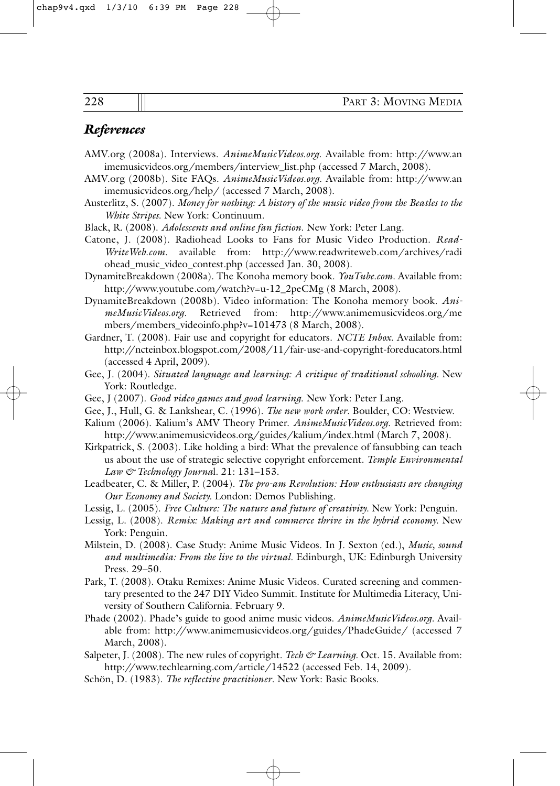| $\mathbf{\hat{}}$<br>22x | PART 3: MOVING MEDIA |
|--------------------------|----------------------|

#### *References*

- AMV.org (2008a). Interviews. *AnimeMusicVideos.org*. Available from: http://www.an imemusicvideos.org/members/interview\_list.php (accessed 7 March, 2008).
- AMV.org (2008b). Site FAQs. *AnimeMusicVideos.org*. Available from: http://www.an imemusicvideos.org/help/ (accessed 7 March, 2008).
- Austerlitz, S. (2007). *Money for nothing: A history of the music video from the Beatles to the White Stripes.* New York: Continuum.
- Black, R. (2008). *Adolescents and online fan fiction*. New York: Peter Lang.
- Catone, J. (2008). Radiohead Looks to Fans for Music Video Production. *Read-WriteWeb.com*. available from: http://www.readwriteweb.com/archives/radi ohead\_music\_video\_contest.php (accessed Jan. 30, 2008).
- DynamiteBreakdown (2008a). The Konoha memory book. *YouTube.com*. Available from: http://www.youtube.com/watch?v=u-12\_2peCMg (8 March, 2008).
- DynamiteBreakdown (2008b). Video information: The Konoha memory book. *AnimeMusicVideos.org*. Retrieved from: http://www.animemusicvideos.org/me mbers/members\_videoinfo.php?v=101473 (8 March, 2008).
- Gardner, T. (2008). Fair use and copyright for educators. *NCTE Inbox*. Available from: http://ncteinbox.blogspot.com/2008/11/fair-use-and-copyright-foreducators.html (accessed 4 April, 2009).
- Gee, J. (2004). *Situated language and learning: A critique of traditional schooling.* New York: Routledge.
- Gee, J (2007). *Good video games and good learning*. New York: Peter Lang.
- Gee, J., Hull, G. & Lankshear, C. (1996). *The new work order*. Boulder, CO: Westview.
- Kalium (2006). Kalium's AMV Theory Primer. *AnimeMusicVideos.org.* Retrieved from: http://www.animemusicvideos.org/guides/kalium/index.html (March 7, 2008).
- Kirkpatrick, S. (2003). Like holding a bird: What the prevalence of fansubbing can teach us about the use of strategic selective copyright enforcement. *Temple Environmental Law & Technology Journa*l. 21: 131–153.
- Leadbeater, C. & Miller, P. (2004). *The pro-am Revolution: How enthusiasts are changing Our Economy and Society.* London: Demos Publishing.
- Lessig, L. (2005). *Free Culture: The nature and future of creativity.* New York: Penguin.
- Lessig, L. (2008). *Remix: Making art and commerce thrive in the hybrid economy.* New York: Penguin.
- Milstein, D. (2008). Case Study: Anime Music Videos. In J. Sexton (ed.), *Music, sound and multimedia: From the live to the virtual*. Edinburgh, UK: Edinburgh University Press. 29–50.
- Park, T. (2008). Otaku Remixes: Anime Music Videos. Curated screening and commentary presented to the 247 DIY Video Summit. Institute for Multimedia Literacy, University of Southern California. February 9.
- Phade (2002). Phade's guide to good anime music videos. *AnimeMusicVideos.org*. Available from: http://www.animemusicvideos.org/guides/PhadeGuide/ (accessed 7 March, 2008).
- Salpeter, J. (2008). The new rules of copyright. *Tech & Learning*. Oct. 15. Available from: http://www.techlearning.com/article/14522 (accessed Feb. 14, 2009).
- Schön, D. (1983). *The reflective practitioner*. New York: Basic Books.